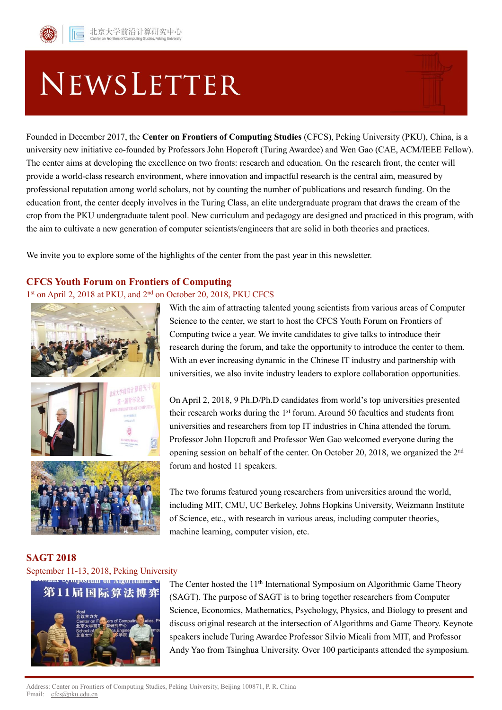# NEWSLETTER

Founded in December 2017, the **Center on Frontiers of Computing Studies** (CFCS), Peking University (PKU), China, is a university new initiative co-founded by Professors John Hopcroft (Turing Awardee) and Wen Gao (CAE, ACM/IEEE Fellow). The center aims at developing the excellence on two fronts: research and education. On the research front, the center will provide a world-class research environment, where innovation and impactful research is the central aim, measured by professional reputation among world scholars, not by counting the number of publications and research funding. On the education front, the center deeply involves in the Turing Class, an elite undergraduate program that draws the cream of the crop from the PKU undergraduate talent pool. New curriculum and pedagogy are designed and practiced in this program, with the aim to cultivate a new generation of computer scientists/engineers that are solid in both theories and practices.

We invite you to explore some of the highlights of the center from the past year in this newsletter.

## **CFCS Youth Forum on Frontiers of Computing**

# 1<sup>st</sup> on April 2, 2018 at PKU, and 2<sup>nd</sup> on October 20, 2018, PKU CFCS



With the aim of attracting talented young scientists from various areas of Computer Science to the center, we start to host the CFCS Youth Forum on Frontiers of Computing twice a year. We invite candidates to give talks to introduce their research during the forum, and take the opportunity to introduce the center to them. With an ever increasing dynamic in the Chinese IT industry and partnership with universities, we also invite industry leaders to explore collaboration opportunities.

On April 2, 2018, 9 Ph.D/Ph.D candidates from world's top universities presented their research works during the 1st forum. Around 50 faculties and students from universities and researchers from top IT industries in China attended the forum. Professor John Hopcroft and Professor Wen Gao welcomed everyone during the opening session on behalf of the center. On October 20, 2018, we organized the 2nd forum and hosted 11 speakers.

The two forums featured young researchers from universities around the world, including MIT, CMU, UC Berkeley, Johns Hopkins University, Weizmann Institute of Science, etc., with research in various areas, including computer theories, machine learning, computer vision, etc.

## **SAGT 2018**

# September 11-13, 2018, Peking University



The Center hosted the 11<sup>th</sup> International Symposium on Algorithmic Game Theory (SAGT). The purpose of SAGT is to bring together researchers from Computer Science, Economics, Mathematics, Psychology, Physics, and Biology to present and discuss original research at the intersection of Algorithms and Game Theory. Keynote speakers include Turing Awardee Professor Silvio Micali from MIT, and Professor Andy Yao from Tsinghua University. Over 100 participants attended the symposium.